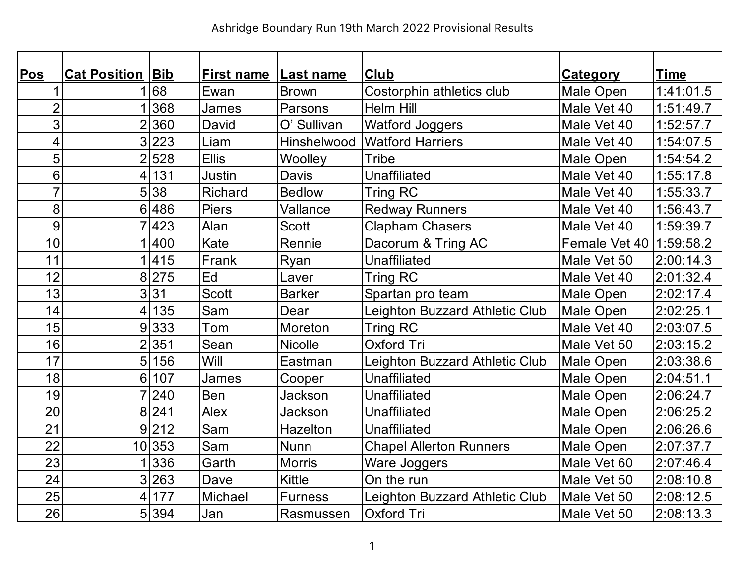| <b>Pos</b>              | <b>Cat Position Bib</b> |         | <b>First name Last name</b> |                | <b>Club</b>                    | <b>Category</b>           | <b>Time</b> |
|-------------------------|-------------------------|---------|-----------------------------|----------------|--------------------------------|---------------------------|-------------|
| 1                       |                         | 68      | Ewan                        | <b>Brown</b>   | Costorphin athletics club      | Male Open                 | 1:41:01.5   |
| $\overline{2}$          |                         | 368     | James                       | Parsons        | <b>Helm Hill</b>               | Male Vet 40               | 1:51:49.7   |
| $\overline{3}$          |                         | 2360    | David                       | O' Sullivan    | <b>Watford Joggers</b>         | Male Vet 40               | 1:52:57.7   |
| $\overline{\mathbf{4}}$ |                         | 3 223   | Liam                        | Hinshelwood    | <b>Watford Harriers</b>        | Male Vet 40               | 1:54:07.5   |
| 5                       | $\overline{2}$          | 528     | <b>Ellis</b>                | Woolley        | Tribe                          | Male Open                 | 1:54:54.2   |
| 6                       | 4 <sup>1</sup>          | 131     | Justin                      | <b>Davis</b>   | <b>Unaffiliated</b>            | Male Vet 40               | 1:55:17.8   |
| $\overline{7}$          | 5 <sup>1</sup>          | 38      | <b>Richard</b>              | <b>Bedlow</b>  | <b>Tring RC</b>                | Male Vet 40               | 1:55:33.7   |
| 8                       |                         | 6 486   | <b>Piers</b>                | Vallance       | <b>Redway Runners</b>          | Male Vet 40               | 1:56:43.7   |
| 9                       |                         | 7423    | Alan                        | <b>Scott</b>   | <b>Clapham Chasers</b>         | Male Vet 40               | 1:59:39.7   |
| 10                      |                         | 1 400   | Kate                        | Rennie         | Dacorum & Tring AC             | Female Vet 40   1:59:58.2 |             |
| 11                      |                         | 1415    | Frank                       | Ryan           | <b>Unaffiliated</b>            | Male Vet 50               | 2:00:14.3   |
| 12                      |                         | 8 275   | Ed                          | Laver          | <b>Tring RC</b>                | Male Vet 40               | 2:01:32.4   |
| 13                      |                         | 3 31    | <b>Scott</b>                | <b>Barker</b>  | Spartan pro team               | Male Open                 | 2:02:17.4   |
| 14                      | 4                       | 135     | Sam                         | Dear           | Leighton Buzzard Athletic Club | Male Open                 | 2:02:25.1   |
| 15                      | 9                       | 333     | Tom                         | Moreton        | <b>Tring RC</b>                | Male Vet 40               | 2:03:07.5   |
| 16                      |                         | 2 351   | Sean                        | <b>Nicolle</b> | Oxford Tri                     | Male Vet 50               | 2:03:15.2   |
| 17                      | 5                       | 156     | Will                        | Eastman        | Leighton Buzzard Athletic Club | Male Open                 | 2:03:38.6   |
| 18                      | 6 <sup>1</sup>          | 107     | <b>James</b>                | Cooper         | <b>Unaffiliated</b>            | Male Open                 | 2:04:51.1   |
| 19                      |                         | 7 240   | Ben                         | Jackson        | <b>Unaffiliated</b>            | Male Open                 | 2:06:24.7   |
| 20                      |                         | 8 241   | <b>Alex</b>                 | Jackson        | Unaffiliated                   | Male Open                 | 2:06:25.2   |
| 21                      |                         | 9 212   | Sam                         | Hazelton       | Unaffiliated                   | Male Open                 | 2:06:26.6   |
| 22                      |                         | 10 353  | Sam                         | <b>Nunn</b>    | <b>Chapel Allerton Runners</b> | Male Open                 | 2:07:37.7   |
| 23                      |                         | 336     | Garth                       | <b>Morris</b>  | Ware Joggers                   | Male Vet 60               | 2:07:46.4   |
| 24                      |                         | 3 263   | Dave                        | <b>Kittle</b>  | On the run                     | Male Vet 50               | 2:08:10.8   |
| 25                      | 4 <sup>1</sup>          | 177     | Michael                     | <b>Furness</b> | Leighton Buzzard Athletic Club | Male Vet 50               | 2:08:12.5   |
| 26                      |                         | 5 3 3 4 | Jan                         | Rasmussen      | <b>Oxford Tri</b>              | Male Vet 50               | 2:08:13.3   |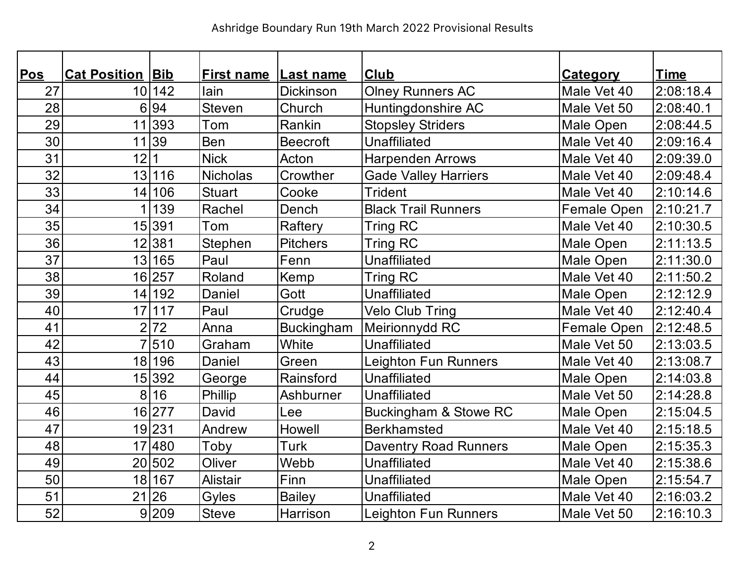| <b>Pos</b> | <b>Cat Position Bib</b> |        | <b>First name</b> | Last name         | <b>Club</b>                  | <b>Category</b> | <b>Time</b> |
|------------|-------------------------|--------|-------------------|-------------------|------------------------------|-----------------|-------------|
| 27         |                         | 10 142 | lain              | <b>Dickinson</b>  | <b>Olney Runners AC</b>      | Male Vet 40     | 2:08:18.4   |
| 28         | 6                       | 94     | <b>Steven</b>     | Church            | Huntingdonshire AC           | Male Vet 50     | 2:08:40.1   |
| 29         | 11                      | 393    | Tom               | Rankin            | <b>Stopsley Striders</b>     | Male Open       | 2:08:44.5   |
| 30         |                         | 11 39  | Ben               | <b>Beecroft</b>   | <b>Unaffiliated</b>          | Male Vet 40     | 2:09:16.4   |
| 31         | 12                      |        | <b>Nick</b>       | Acton             | <b>Harpenden Arrows</b>      | Male Vet 40     | 2:09:39.0   |
| 32         |                         | 13 116 | <b>Nicholas</b>   | Crowther          | <b>Gade Valley Harriers</b>  | Male Vet 40     | 2:09:48.4   |
| 33         | 14                      | 106    | <b>Stuart</b>     | Cooke             | <b>Trident</b>               | Male Vet 40     | 2:10:14.6   |
| 34         |                         | 139    | Rachel            | Dench             | <b>Black Trail Runners</b>   | Female Open     | 2:10:21.7   |
| 35         |                         | 15 391 | Tom               | Raftery           | <b>Tring RC</b>              | Male Vet 40     | 2:10:30.5   |
| 36         |                         | 12 381 | Stephen           | <b>Pitchers</b>   | <b>Tring RC</b>              | Male Open       | 2:11:13.5   |
| 37         |                         | 13 165 | Paul              | Fenn              | <b>Unaffiliated</b>          | Male Open       | 2:11:30.0   |
| 38         |                         | 16 257 | Roland            | Kemp              | <b>Tring RC</b>              | Male Vet 40     | 2:11:50.2   |
| 39         | 14                      | 192    | Daniel            | Gott              | <b>Unaffiliated</b>          | Male Open       | 2:12:12.9   |
| 40         |                         | 17 117 | Paul              | Crudge            | <b>Velo Club Tring</b>       | Male Vet 40     | 2:12:40.4   |
| 41         | $\overline{2}$          | 72     | Anna              | <b>Buckingham</b> | Meirionnydd RC               | Female Open     | 2:12:48.5   |
| 42         | $\overline{7}$          | 510    | Graham            | White             | <b>Unaffiliated</b>          | Male Vet 50     | 2:13:03.5   |
| 43         | 18                      | 196    | Daniel            | Green             | <b>Leighton Fun Runners</b>  | Male Vet 40     | 2:13:08.7   |
| 44         |                         | 15 392 | George            | Rainsford         | Unaffiliated                 | Male Open       | 2:14:03.8   |
| 45         | 8                       | 16     | Phillip           | Ashburner         | <b>Unaffiliated</b>          | Male Vet 50     | 2:14:28.8   |
| 46         |                         | 16 277 | David             | Lee               | Buckingham & Stowe RC        | Male Open       | 2:15:04.5   |
| 47         |                         | 19 231 | Andrew            | Howell            | <b>Berkhamsted</b>           | Male Vet 40     | 2:15:18.5   |
| 48         |                         | 17 480 | Toby              | Turk              | <b>Daventry Road Runners</b> | Male Open       | 2:15:35.3   |
| 49         |                         | 20 502 | Oliver            | Webb              | <b>Unaffiliated</b>          | Male Vet 40     | 2:15:38.6   |
| 50         |                         | 18 167 | Alistair          | Finn              | <b>Unaffiliated</b>          | Male Open       | 2:15:54.7   |
| 51         |                         | 21 26  | Gyles             | <b>Bailey</b>     | <b>Unaffiliated</b>          | Male Vet 40     | 2:16:03.2   |
| 52         |                         | 9 209  | <b>Steve</b>      | Harrison          | Leighton Fun Runners         | Male Vet 50     | 2:16:10.3   |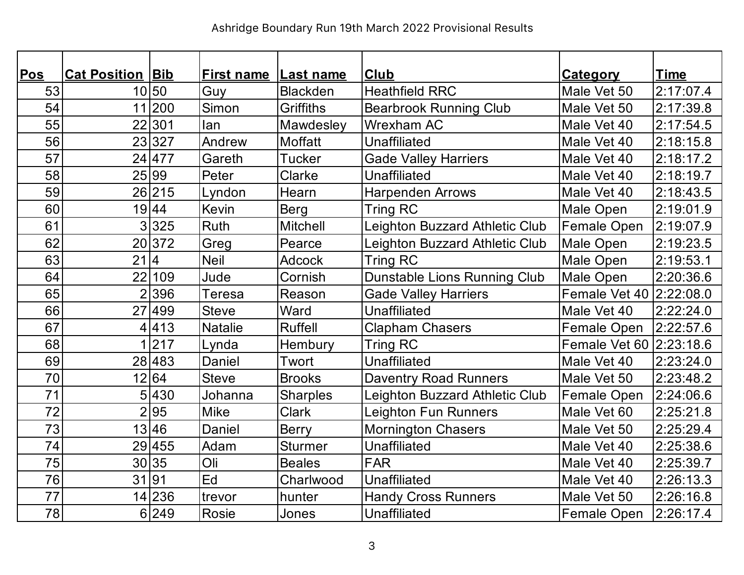| Pos | <b>Cat Position Bib</b> |        | <b>First name Last name</b> |                  | <b>Club</b>                    | <b>Category</b>         | <b>Time</b> |
|-----|-------------------------|--------|-----------------------------|------------------|--------------------------------|-------------------------|-------------|
| 53  |                         | 10 50  | Guy                         | <b>Blackden</b>  | <b>Heathfield RRC</b>          | Male Vet 50             | 2:17:07.4   |
| 54  |                         | 11 200 | Simon                       | <b>Griffiths</b> | <b>Bearbrook Running Club</b>  | Male Vet 50             | 2:17:39.8   |
| 55  |                         | 22 301 | lan                         | Mawdesley        | <b>Wrexham AC</b>              | Male Vet 40             | 2:17:54.5   |
| 56  |                         | 23327  | Andrew                      | Moffatt          | <b>Unaffiliated</b>            | Male Vet 40             | 2:18:15.8   |
| 57  |                         | 24 477 | Gareth                      | <b>Tucker</b>    | <b>Gade Valley Harriers</b>    | Male Vet 40             | 2:18:17.2   |
| 58  |                         | 25 99  | Peter                       | Clarke           | <b>Unaffiliated</b>            | Male Vet 40             | 2:18:19.7   |
| 59  |                         | 26 215 | Lyndon                      | Hearn            | <b>Harpenden Arrows</b>        | Male Vet 40             | 2:18:43.5   |
| 60  |                         | 19 44  | <b>Kevin</b>                | Berg             | <b>Tring RC</b>                | Male Open               | 2:19:01.9   |
| 61  |                         | 3 325  | Ruth                        | <b>Mitchell</b>  | Leighton Buzzard Athletic Club | Female Open             | 2:19:07.9   |
| 62  |                         | 20 372 | Greg                        | Pearce           | Leighton Buzzard Athletic Club | Male Open               | 2:19:23.5   |
| 63  | 21 4                    |        | <b>Neil</b>                 | <b>Adcock</b>    | Tring RC                       | Male Open               | 2:19:53.1   |
| 64  | 22                      | 109    | Jude                        | Cornish          | Dunstable Lions Running Club   | Male Open               | 2:20:36.6   |
| 65  |                         | 2 396  | <b>Teresa</b>               | Reason           | <b>Gade Valley Harriers</b>    | Female Vet 40 2:22:08.0 |             |
| 66  |                         | 27 499 | <b>Steve</b>                | Ward             | <b>Unaffiliated</b>            | Male Vet 40             | 2:22:24.0   |
| 67  |                         | 4 413  | <b>Natalie</b>              | <b>Ruffell</b>   | <b>Clapham Chasers</b>         | Female Open             | 2:22:57.6   |
| 68  |                         | 1 217  | Lynda                       | Hembury          | <b>Tring RC</b>                | Female Vet 60 2:23:18.6 |             |
| 69  |                         | 28 483 | Daniel                      | Twort            | <b>Unaffiliated</b>            | Male Vet 40             | 2:23:24.0   |
| 70  |                         | 12 64  | <b>Steve</b>                | <b>Brooks</b>    | <b>Daventry Road Runners</b>   | Male Vet 50             | 2:23:48.2   |
| 71  |                         | 5 430  | Johanna                     | <b>Sharples</b>  | Leighton Buzzard Athletic Club | Female Open             | 2:24:06.6   |
| 72  |                         | 2 95   | <b>Mike</b>                 | <b>Clark</b>     | Leighton Fun Runners           | Male Vet 60             | 2:25:21.8   |
| 73  |                         | 13 46  | Daniel                      | <b>Berry</b>     | <b>Mornington Chasers</b>      | Male Vet 50             | 2:25:29.4   |
| 74  |                         | 29 455 | Adam                        | <b>Sturmer</b>   | <b>Unaffiliated</b>            | Male Vet 40             | 2:25:38.6   |
| 75  |                         | 30 35  | Oli                         | <b>Beales</b>    | <b>FAR</b>                     | Male Vet 40             | 2:25:39.7   |
| 76  | 31 91                   |        | Ed                          | Charlwood        | <b>Unaffiliated</b>            | Male Vet 40             | 2:26:13.3   |
| 77  |                         | 14 236 | trevor                      | hunter           | <b>Handy Cross Runners</b>     | Male Vet 50             | 2:26:16.8   |
| 78  |                         | 6 249  | <b>Rosie</b>                | Jones            | <b>Unaffiliated</b>            | <b>Female Open</b>      | 2:26:17.4   |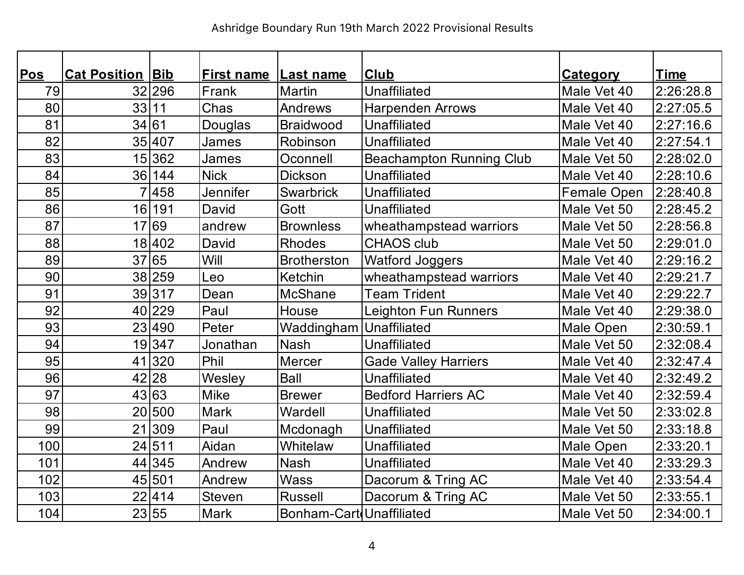| Pos | <b>Cat Position Bib</b> |        | <b>First name Last name</b> |                          | <b>Club</b>                     | <b>Category</b> | <b>Time</b> |
|-----|-------------------------|--------|-----------------------------|--------------------------|---------------------------------|-----------------|-------------|
| 79  |                         | 32 296 | Frank                       | <b>Martin</b>            | <b>Unaffiliated</b>             | Male Vet 40     | 2:26:28.8   |
| 80  | 33 11                   |        | Chas                        | Andrews                  | <b>Harpenden Arrows</b>         | Male Vet 40     | 2:27:05.5   |
| 81  | 34 61                   |        | Douglas                     | <b>Braidwood</b>         | <b>Unaffiliated</b>             | Male Vet 40     | 2:27:16.6   |
| 82  |                         | 35 407 | James                       | Robinson                 | <b>Unaffiliated</b>             | Male Vet 40     | 2:27:54.1   |
| 83  |                         | 15 362 | James                       | Oconnell                 | <b>Beachampton Running Club</b> | Male Vet 50     | 2:28:02.0   |
| 84  |                         | 36 144 | <b>Nick</b>                 | Dickson                  | <b>Unaffiliated</b>             | Male Vet 40     | 2:28:10.6   |
| 85  |                         | 7458   | <b>Jennifer</b>             | <b>Swarbrick</b>         | <b>Unaffiliated</b>             | Female Open     | 2:28:40.8   |
| 86  | 16                      | 191    | David                       | Gott                     | <b>Unaffiliated</b>             | Male Vet 50     | 2:28:45.2   |
| 87  |                         | 17 69  | andrew                      | <b>Brownless</b>         | wheathampstead warriors         | Male Vet 50     | 2:28:56.8   |
| 88  |                         | 18 402 | David                       | <b>Rhodes</b>            | <b>CHAOS club</b>               | Male Vet 50     | 2:29:01.0   |
| 89  |                         | 37 65  | Will                        | <b>Brotherston</b>       | <b>Watford Joggers</b>          | Male Vet 40     | 2:29:16.2   |
| 90  |                         | 38 259 | Leo                         | Ketchin                  | wheathampstead warriors         | Male Vet 40     | 2:29:21.7   |
| 91  |                         | 39317  | Dean                        | McShane                  | <b>Team Trident</b>             | Male Vet 40     | 2:29:22.7   |
| 92  |                         | 40 229 | Paul                        | House                    | <b>Leighton Fun Runners</b>     | Male Vet 40     | 2:29:38.0   |
| 93  |                         | 23 490 | Peter                       | Waddingham Unaffiliated  |                                 | Male Open       | 2:30:59.1   |
| 94  |                         | 19347  | Jonathan                    | <b>Nash</b>              | <b>Unaffiliated</b>             | Male Vet 50     | 2:32:08.4   |
| 95  |                         | 41 320 | Phil                        | <b>Mercer</b>            | <b>Gade Valley Harriers</b>     | Male Vet 40     | 2:32:47.4   |
| 96  |                         | 42 28  | Wesley                      | <b>Ball</b>              | <b>Unaffiliated</b>             | Male Vet 40     | 2:32:49.2   |
| 97  |                         | 43 63  | Mike                        | <b>Brewer</b>            | <b>Bedford Harriers AC</b>      | Male Vet 40     | 2:32:59.4   |
| 98  |                         | 20 500 | <b>Mark</b>                 | Wardell                  | <b>Unaffiliated</b>             | Male Vet 50     | 2:33:02.8   |
| 99  |                         | 21 309 | Paul                        | Mcdonagh                 | Unaffiliated                    | Male Vet 50     | 2:33:18.8   |
| 100 |                         | 24 511 | Aidan                       | Whitelaw                 | <b>Unaffiliated</b>             | Male Open       | 2:33:20.1   |
| 101 |                         | 44 345 | Andrew                      | <b>Nash</b>              | <b>Unaffiliated</b>             | Male Vet 40     | 2:33:29.3   |
| 102 |                         | 45 501 | Andrew                      | <b>Wass</b>              | Dacorum & Tring AC              | Male Vet 40     | 2:33:54.4   |
| 103 |                         | 22 414 | <b>Steven</b>               | <b>Russell</b>           | Dacorum & Tring AC              | Male Vet 50     | 2:33:55.1   |
| 104 |                         | 23 55  | <b>Mark</b>                 | Bonham-Cart Unaffiliated |                                 | Male Vet 50     | 2:34:00.1   |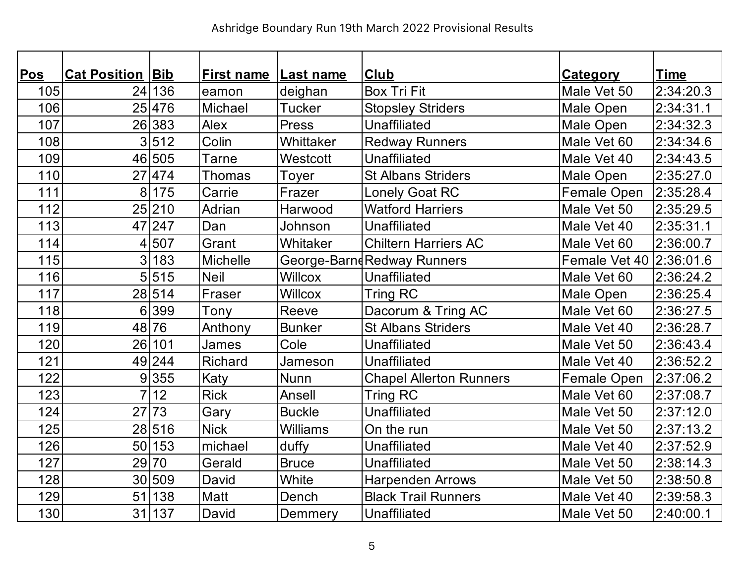| Pos | <b>Cat Position Bib</b> |        | <b>First name Last name</b> |                 | <b>Club</b>                    | <b>Category</b>         | <b>Time</b> |
|-----|-------------------------|--------|-----------------------------|-----------------|--------------------------------|-------------------------|-------------|
| 105 |                         | 24 136 | eamon                       | deighan         | <b>Box Tri Fit</b>             | Male Vet 50             | 2:34:20.3   |
| 106 |                         | 25 476 | Michael                     | <b>Tucker</b>   | <b>Stopsley Striders</b>       | Male Open               | 2:34:31.1   |
| 107 |                         | 26 383 | <b>Alex</b>                 | Press           | <b>Unaffiliated</b>            | Male Open               | 2:34:32.3   |
| 108 |                         | 3 512  | Colin                       | Whittaker       | <b>Redway Runners</b>          | Male Vet 60             | 2:34:34.6   |
| 109 |                         | 46 505 | <b>Tarne</b>                | Westcott        | <b>Unaffiliated</b>            | Male Vet 40             | 2:34:43.5   |
| 110 |                         | 27 474 | <b>Thomas</b>               | Toyer           | <b>St Albans Striders</b>      | Male Open               | 2:35:27.0   |
| 111 |                         | 8 175  | Carrie                      | Frazer          | <b>Lonely Goat RC</b>          | Female Open             | 2:35:28.4   |
| 112 |                         | 25 210 | Adrian                      | Harwood         | <b>Watford Harriers</b>        | Male Vet 50             | 2:35:29.5   |
| 113 |                         | 47 247 | Dan                         | Johnson         | <b>Unaffiliated</b>            | Male Vet 40             | 2:35:31.1   |
| 114 |                         | 4 507  | Grant                       | Whitaker        | <b>Chiltern Harriers AC</b>    | Male Vet 60             | 2:36:00.7   |
| 115 |                         | 3 183  | <b>Michelle</b>             |                 | George-BarndRedway Runners     | Female Vet 40 2:36:01.6 |             |
| 116 |                         | 5 515  | <b>Neil</b>                 | <b>Willcox</b>  | <b>Unaffiliated</b>            | Male Vet 60             | 2:36:24.2   |
| 117 |                         | 28 514 | Fraser                      | <b>Willcox</b>  | <b>Tring RC</b>                | Male Open               | 2:36:25.4   |
| 118 |                         | 6 399  | Tony                        | Reeve           | Dacorum & Tring AC             | Male Vet 60             | 2:36:27.5   |
| 119 |                         | 48 76  | Anthony                     | <b>Bunker</b>   | <b>St Albans Striders</b>      | Male Vet 40             | 2:36:28.7   |
| 120 |                         | 26 101 | <b>James</b>                | Cole            | <b>Unaffiliated</b>            | Male Vet 50             | 2:36:43.4   |
| 121 |                         | 49 244 | <b>Richard</b>              | Jameson         | <b>Unaffiliated</b>            | Male Vet 40             | 2:36:52.2   |
| 122 |                         | 9 355  | Katy                        | <b>Nunn</b>     | <b>Chapel Allerton Runners</b> | Female Open             | 2:37:06.2   |
| 123 | 7 <sup>1</sup>          | 12     | <b>Rick</b>                 | Ansell          | <b>Tring RC</b>                | Male Vet 60             | 2:37:08.7   |
| 124 |                         | 27 73  | Gary                        | <b>Buckle</b>   | <b>Unaffiliated</b>            | Male Vet 50             | 2:37:12.0   |
| 125 |                         | 28 516 | <b>Nick</b>                 | <b>Williams</b> | On the run                     | Male Vet 50             | 2:37:13.2   |
| 126 |                         | 50 153 | michael                     | duffy           | <b>Unaffiliated</b>            | Male Vet 40             | 2:37:52.9   |
| 127 |                         | 29 70  | Gerald                      | <b>Bruce</b>    | <b>Unaffiliated</b>            | Male Vet 50             | 2:38:14.3   |
| 128 |                         | 30 509 | David                       | White           | <b>Harpenden Arrows</b>        | Male Vet 50             | 2:38:50.8   |
| 129 |                         | 51 138 | Matt                        | Dench           | <b>Black Trail Runners</b>     | Male Vet 40             | 2:39:58.3   |
| 130 |                         | 31 137 | David                       | Demmery         | <b>Unaffiliated</b>            | Male Vet 50             | 2:40:00.1   |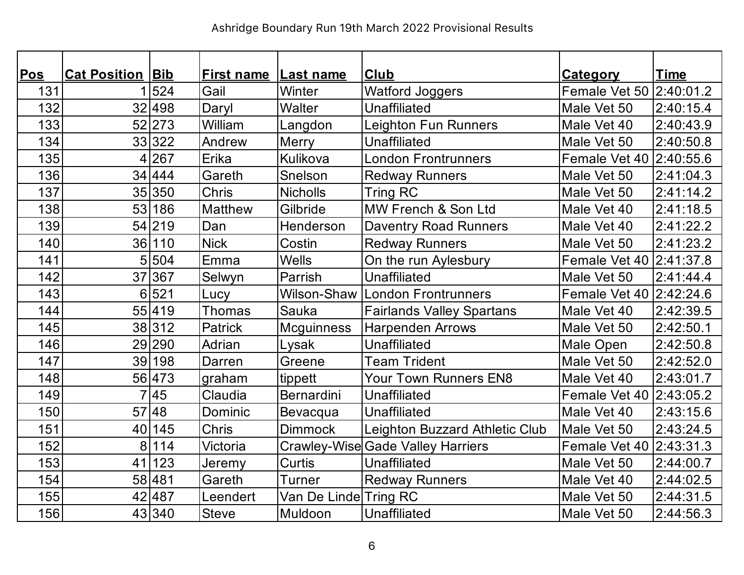| <u>Pos</u> | <b>Cat Position Bib</b> |        | <b>First name Last name</b> |                       | <b>Club</b>                       | <b>Category</b>         | <b>Time</b> |
|------------|-------------------------|--------|-----------------------------|-----------------------|-----------------------------------|-------------------------|-------------|
| 131        |                         | 524    | Gail                        | Winter                | <b>Watford Joggers</b>            | Female Vet 50 2:40:01.2 |             |
| 132        |                         | 32 498 | Daryl                       | <b>Walter</b>         | <b>Unaffiliated</b>               | Male Vet 50             | 2:40:15.4   |
| 133        |                         | 52 273 | William                     | Langdon               | <b>Leighton Fun Runners</b>       | Male Vet 40             | 2:40:43.9   |
| 134        |                         | 33 322 | Andrew                      | <b>Merry</b>          | Unaffiliated                      | Male Vet 50             | 2:40:50.8   |
| 135        |                         | 4267   | Erika                       | Kulikova              | <b>London Frontrunners</b>        | Female Vet 40 2:40:55.6 |             |
| 136        |                         | 34 444 | Gareth                      | Snelson               | <b>Redway Runners</b>             | Male Vet 50             | 2:41:04.3   |
| 137        |                         | 35 350 | <b>Chris</b>                | <b>Nicholls</b>       | Tring RC                          | Male Vet 50             | 2:41:14.2   |
| 138        | 53                      | 186    | <b>Matthew</b>              | Gilbride              | MW French & Son Ltd               | Male Vet 40             | 2:41:18.5   |
| 139        |                         | 54 219 | Dan                         | Henderson             | <b>Daventry Road Runners</b>      | Male Vet 40             | 2:41:22.2   |
| 140        |                         | 36 110 | <b>Nick</b>                 | Costin                | <b>Redway Runners</b>             | Male Vet 50             | 2:41:23.2   |
| 141        | 5                       | 504    | Emma                        | <b>Wells</b>          | On the run Aylesbury              | Female Vet 40 2:41:37.8 |             |
| 142        |                         | 37 367 | Selwyn                      | Parrish               | <b>Unaffiliated</b>               | Male Vet 50             | 2:41:44.4   |
| 143        |                         | 6 521  | Lucy                        | Wilson-Shaw           | London Frontrunners               | Female Vet 40 2:42:24.6 |             |
| 144        |                         | 55 419 | <b>Thomas</b>               | <b>Sauka</b>          | <b>Fairlands Valley Spartans</b>  | Male Vet 40             | 2:42:39.5   |
| 145        |                         | 38 312 | Patrick                     | <b>Mcguinness</b>     | <b>Harpenden Arrows</b>           | Male Vet 50             | 2:42:50.1   |
| 146        |                         | 29 290 | Adrian                      | Lysak                 | <b>Unaffiliated</b>               | Male Open               | 2:42:50.8   |
| 147        |                         | 39 198 | Darren                      | Greene                | <b>Team Trident</b>               | Male Vet 50             | 2:42:52.0   |
| 148        |                         | 56 473 | graham                      | tippett               | <b>Your Town Runners EN8</b>      | Male Vet 40             | 2:43:01.7   |
| 149        |                         | 7 45   | Claudia                     | Bernardini            | <b>Unaffiliated</b>               | Female Vet 40 2:43:05.2 |             |
| 150        |                         | 57 48  | Dominic                     | Bevacqua              | Unaffiliated                      | Male Vet 40             | 2:43:15.6   |
| 151        |                         | 40 145 | Chris                       | <b>Dimmock</b>        | Leighton Buzzard Athletic Club    | Male Vet 50             | 2:43:24.5   |
| 152        | 8 <sup>1</sup>          | 114    | Victoria                    |                       | Crawley-Wise Gade Valley Harriers | Female Vet 40 2:43:31.3 |             |
| 153        | 41                      | 123    | Jeremy                      | <b>Curtis</b>         | Unaffiliated                      | Male Vet 50             | 2:44:00.7   |
| 154        |                         | 58 481 | Gareth                      | <b>Turner</b>         | <b>Redway Runners</b>             | Male Vet 40             | 2:44:02.5   |
| 155        |                         | 42 487 | Leendert                    | Van De Linde Tring RC |                                   | Male Vet 50             | 2:44:31.5   |
| 156        |                         | 43 340 | <b>Steve</b>                | Muldoon               | Unaffiliated                      | Male Vet 50             | 2:44:56.3   |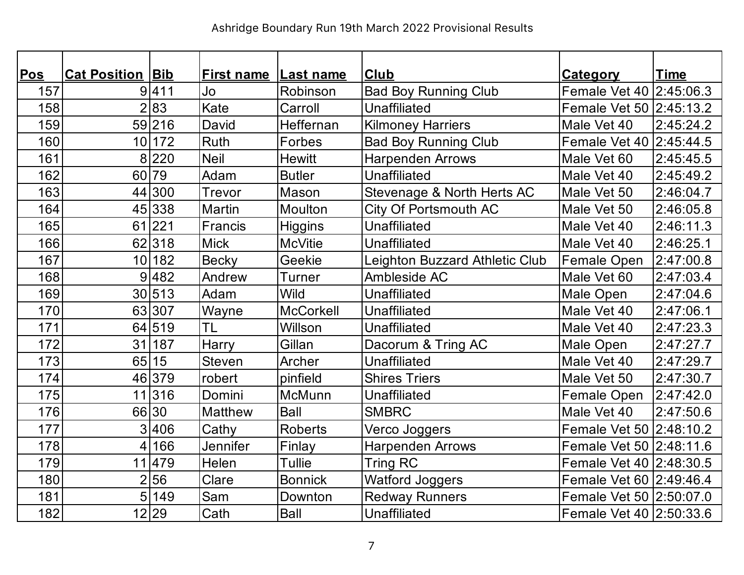| <u>Pos</u> | <b>Cat Position Bib</b> |        | <b>First name Last name</b> |                  | <b>Club</b>                    | <b>Category</b>         | <b>Time</b> |
|------------|-------------------------|--------|-----------------------------|------------------|--------------------------------|-------------------------|-------------|
| 157        |                         | 9 411  | Jo                          | Robinson         | <b>Bad Boy Running Club</b>    | Female Vet 40 2:45:06.3 |             |
| 158        |                         | 2 83   | Kate                        | Carroll          | <b>Unaffiliated</b>            | Female Vet 50 2:45:13.2 |             |
| 159        |                         | 59 216 | David                       | Heffernan        | <b>Kilmoney Harriers</b>       | Male Vet 40             | 2:45:24.2   |
| 160        |                         | 10 172 | <b>Ruth</b>                 | Forbes           | <b>Bad Boy Running Club</b>    | Female Vet 40 2:45:44.5 |             |
| 161        |                         | 8 220  | <b>Neil</b>                 | <b>Hewitt</b>    | <b>Harpenden Arrows</b>        | Male Vet 60             | 2:45:45.5   |
| 162        | 60                      | 79     | Adam                        | <b>Butler</b>    | <b>Unaffiliated</b>            | Male Vet 40             | 2:45:49.2   |
| 163        |                         | 44 300 | Trevor                      | Mason            | Stevenage & North Herts AC     | Male Vet 50             | 2:46:04.7   |
| 164        |                         | 45 338 | <b>Martin</b>               | <b>Moulton</b>   | <b>City Of Portsmouth AC</b>   | Male Vet 50             | 2:46:05.8   |
| 165        |                         | 61 221 | Francis                     | <b>Higgins</b>   | <b>Unaffiliated</b>            | Male Vet 40             | 2:46:11.3   |
| 166        |                         | 62 318 | <b>Mick</b>                 | <b>McVitie</b>   | <b>Unaffiliated</b>            | Male Vet 40             | 2:46:25.1   |
| 167        |                         | 10 182 | <b>Becky</b>                | Geekie           | Leighton Buzzard Athletic Club | Female Open             | 2:47:00.8   |
| 168        |                         | 9 482  | Andrew                      | <b>Turner</b>    | Ambleside AC                   | Male Vet 60             | 2:47:03.4   |
| 169        |                         | 30 513 | Adam                        | <b>Wild</b>      | <b>Unaffiliated</b>            | Male Open               | 2:47:04.6   |
| 170        |                         | 63 307 | Wayne                       | <b>McCorkell</b> | <b>Unaffiliated</b>            | Male Vet 40             | 2:47:06.1   |
| 171        |                         | 64 519 | <b>TL</b>                   | Willson          | <b>Unaffiliated</b>            | Male Vet 40             | 2:47:23.3   |
| 172        |                         | 31 187 | Harry                       | Gillan           | Dacorum & Tring AC             | Male Open               | 2:47:27.7   |
| 173        |                         | 65 15  | <b>Steven</b>               | Archer           | <b>Unaffiliated</b>            | Male Vet 40             | 2:47:29.7   |
| 174        |                         | 46 379 | robert                      | pinfield         | <b>Shires Triers</b>           | Male Vet 50             | 2:47:30.7   |
| 175        |                         | 11 316 | Domini                      | McMunn           | <b>Unaffiliated</b>            | Female Open             | 2:47:42.0   |
| 176        |                         | 66 30  | <b>Matthew</b>              | <b>Ball</b>      | <b>SMBRC</b>                   | Male Vet 40             | 2:47:50.6   |
| 177        |                         | 3 406  | Cathy                       | <b>Roberts</b>   | Verco Joggers                  | Female Vet 50 2:48:10.2 |             |
| 178        |                         | 4 166  | <b>Jennifer</b>             | Finlay           | <b>Harpenden Arrows</b>        | Female Vet 50 2:48:11.6 |             |
| 179        |                         | 11 479 | <b>Helen</b>                | Tullie           | <b>Tring RC</b>                | Female Vet 40 2:48:30.5 |             |
| 180        |                         | 2 56   | Clare                       | <b>Bonnick</b>   | <b>Watford Joggers</b>         | Female Vet 60 2:49:46.4 |             |
| 181        | 5 <sup>1</sup>          | 149    | Sam                         | Downton          | <b>Redway Runners</b>          | Female Vet 50 2:50:07.0 |             |
| 182        |                         | 12 29  | Cath                        | <b>Ball</b>      | <b>Unaffiliated</b>            | Female Vet 40 2:50:33.6 |             |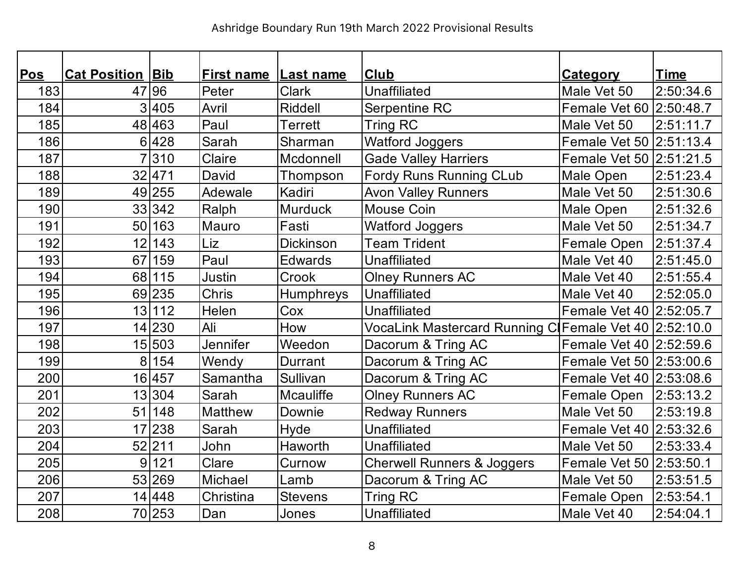| Pos | <b>Cat Position Bib</b> |        | <b>First name Last name</b> |                  | <b>Club</b>                                           | <b>Category</b>         | <b>Time</b> |
|-----|-------------------------|--------|-----------------------------|------------------|-------------------------------------------------------|-------------------------|-------------|
| 183 |                         | 47 96  | Peter                       | <b>Clark</b>     | <b>Unaffiliated</b>                                   | Male Vet 50             | 2:50:34.6   |
| 184 |                         | 3 405  | Avril                       | <b>Riddell</b>   | Serpentine RC                                         | Female Vet 60 2:50:48.7 |             |
| 185 |                         | 48 463 | Paul                        | <b>Terrett</b>   | Tring RC                                              | Male Vet 50             | 2:51:11.7   |
| 186 |                         | 6 428  | Sarah                       | Sharman          | <b>Watford Joggers</b>                                | Female Vet 50 2:51:13.4 |             |
| 187 |                         | 7 310  | Claire                      | Mcdonnell        | <b>Gade Valley Harriers</b>                           | Female Vet 50 2:51:21.5 |             |
| 188 |                         | 32 471 | David                       | Thompson         | <b>Fordy Runs Running CLub</b>                        | Male Open               | 2:51:23.4   |
| 189 |                         | 49 255 | Adewale                     | Kadiri           | <b>Avon Valley Runners</b>                            | Male Vet 50             | 2:51:30.6   |
| 190 |                         | 33 342 | Ralph                       | <b>Murduck</b>   | <b>Mouse Coin</b>                                     | Male Open               | 2:51:32.6   |
| 191 |                         | 50 163 | Mauro                       | Fasti            | <b>Watford Joggers</b>                                | Male Vet 50             | 2:51:34.7   |
| 192 |                         | 12 143 | Liz                         | <b>Dickinson</b> | <b>Team Trident</b>                                   | Female Open             | 2:51:37.4   |
| 193 |                         | 67 159 | Paul                        | <b>Edwards</b>   | <b>Unaffiliated</b>                                   | Male Vet 40             | 2:51:45.0   |
| 194 |                         | 68 115 | <b>Justin</b>               | Crook            | <b>Olney Runners AC</b>                               | Male Vet 40             | 2:51:55.4   |
| 195 |                         | 69 235 | Chris                       | Humphreys        | <b>Unaffiliated</b>                                   | Male Vet 40             | 2:52:05.0   |
| 196 |                         | 13 112 | Helen                       | Cox              | <b>Unaffiliated</b>                                   | Female Vet 40 2:52:05.7 |             |
| 197 |                         | 14 230 | Ali                         | How              | VocaLink Mastercard Running C Female Vet 40 2:52:10.0 |                         |             |
| 198 |                         | 15 503 | Jennifer                    | Weedon           | Dacorum & Tring AC                                    | Female Vet 40 2:52:59.6 |             |
| 199 |                         | 8 154  | Wendy                       | Durrant          | Dacorum & Tring AC                                    | Female Vet 50 2:53:00.6 |             |
| 200 |                         | 16 457 | Samantha                    | Sullivan         | Dacorum & Tring AC                                    | Female Vet 40 2:53:08.6 |             |
| 201 |                         | 13 304 | Sarah                       | <b>Mcauliffe</b> | <b>Olney Runners AC</b>                               | Female Open   2:53:13.2 |             |
| 202 |                         | 51 148 | <b>Matthew</b>              | Downie           | <b>Redway Runners</b>                                 | Male Vet 50             | 2:53:19.8   |
| 203 |                         | 17 238 | Sarah                       | Hyde             | <b>Unaffiliated</b>                                   | Female Vet 40 2:53:32.6 |             |
| 204 |                         | 52 211 | John                        | <b>Haworth</b>   | <b>Unaffiliated</b>                                   | Male Vet 50             | 2:53:33.4   |
| 205 | 9 <sup>1</sup>          | 121    | Clare                       | Curnow           | <b>Cherwell Runners &amp; Joggers</b>                 | Female Vet 50 2:53:50.1 |             |
| 206 |                         | 53 269 | Michael                     | Lamb             | Dacorum & Tring AC                                    | Male Vet 50             | 2:53:51.5   |
| 207 |                         | 14 448 | Christina                   | <b>Stevens</b>   | <b>Tring RC</b>                                       | Female Open             | 2:53:54.1   |
| 208 |                         | 70 253 | Dan                         | Jones            | <b>Unaffiliated</b>                                   | Male Vet 40             | 2:54:04.1   |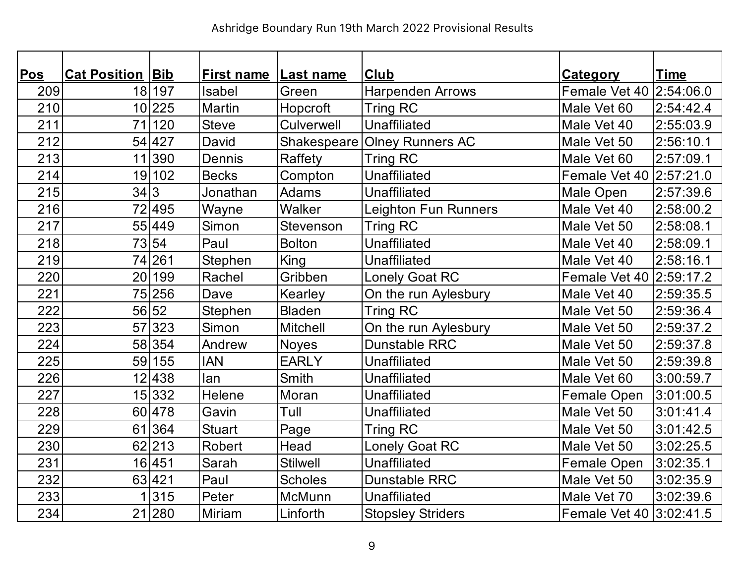| <b>Pos</b> | <b>Cat Position Bib</b> |        | <b>First name Last name</b> |                 | Club                     | <b>Category</b>         | <b>Time</b> |
|------------|-------------------------|--------|-----------------------------|-----------------|--------------------------|-------------------------|-------------|
| 209        |                         | 18 197 | Isabel                      | Green           | <b>Harpenden Arrows</b>  | Female Vet 40 2:54:06.0 |             |
| 210        |                         | 10 225 | <b>Martin</b>               | Hopcroft        | <b>Tring RC</b>          | Male Vet 60             | 2:54:42.4   |
| 211        |                         | 71 120 | <b>Steve</b>                | Culverwell      | <b>Unaffiliated</b>      | Male Vet 40             | 2:55:03.9   |
| 212        |                         | 54 427 | David                       | Shakespeare     | <b>Olney Runners AC</b>  | Male Vet 50             | 2:56:10.1   |
| 213        |                         | 11 390 | Dennis                      | Raffety         | <b>Tring RC</b>          | Male Vet 60             | 2:57:09.1   |
| 214        |                         | 19 102 | <b>Becks</b>                | Compton         | <b>Unaffiliated</b>      | Female Vet 40 2:57:21.0 |             |
| 215        | 34 3                    |        | Jonathan                    | <b>Adams</b>    | <b>Unaffiliated</b>      | Male Open               | 2:57:39.6   |
| 216        |                         | 72 495 | Wayne                       | Walker          | Leighton Fun Runners     | Male Vet 40             | 2:58:00.2   |
| 217        |                         | 55 449 | Simon                       | Stevenson       | Tring RC                 | Male Vet 50             | 2:58:08.1   |
| 218        |                         | 73 54  | Paul                        | <b>Bolton</b>   | <b>Unaffiliated</b>      | Male Vet 40             | 2:58:09.1   |
| 219        |                         | 74 261 | Stephen                     | King            | Unaffiliated             | Male Vet 40             | 2:58:16.1   |
| 220        | 20 <sub>l</sub>         | 199    | Rachel                      | Gribben         | <b>Lonely Goat RC</b>    | Female Vet 40 2:59:17.2 |             |
| 221        |                         | 75 256 | Dave                        | Kearley         | On the run Aylesbury     | Male Vet 40             | 2:59:35.5   |
| 222        |                         | 56 52  | Stephen                     | <b>Bladen</b>   | <b>Tring RC</b>          | Male Vet 50             | 2:59:36.4   |
| 223        |                         | 57 323 | Simon                       | <b>Mitchell</b> | On the run Aylesbury     | Male Vet 50             | 2:59:37.2   |
| 224        |                         | 58 354 | Andrew                      | <b>Noyes</b>    | <b>Dunstable RRC</b>     | Male Vet 50             | 2:59:37.8   |
| 225        |                         | 59 155 | <b>IAN</b>                  | <b>EARLY</b>    | Unaffiliated             | Male Vet 50             | 2:59:39.8   |
| 226        |                         | 12 438 | lan                         | <b>Smith</b>    | <b>Unaffiliated</b>      | Male Vet 60             | 3:00:59.7   |
| 227        |                         | 15 332 | Helene                      | Moran           | <b>Unaffiliated</b>      | Female Open             | 3:01:00.5   |
| 228        |                         | 60 478 | Gavin                       | Tull            | Unaffiliated             | Male Vet 50             | 3:01:41.4   |
| 229        |                         | 61 364 | <b>Stuart</b>               | Page            | <b>Tring RC</b>          | Male Vet 50             | 3:01:42.5   |
| 230        |                         | 62 213 | <b>Robert</b>               | Head            | <b>Lonely Goat RC</b>    | Male Vet 50             | 3:02:25.5   |
| 231        |                         | 16 451 | Sarah                       | <b>Stilwell</b> | Unaffiliated             | <b>Female Open</b>      | 3:02:35.1   |
| 232        |                         | 63 421 | Paul                        | <b>Scholes</b>  | <b>Dunstable RRC</b>     | Male Vet 50             | 3:02:35.9   |
| 233        |                         | 1 315  | Peter                       | McMunn          | <b>Unaffiliated</b>      | Male Vet 70             | 3:02:39.6   |
| 234        |                         | 21 280 | <b>Miriam</b>               | Linforth        | <b>Stopsley Striders</b> | Female Vet 40 3:02:41.5 |             |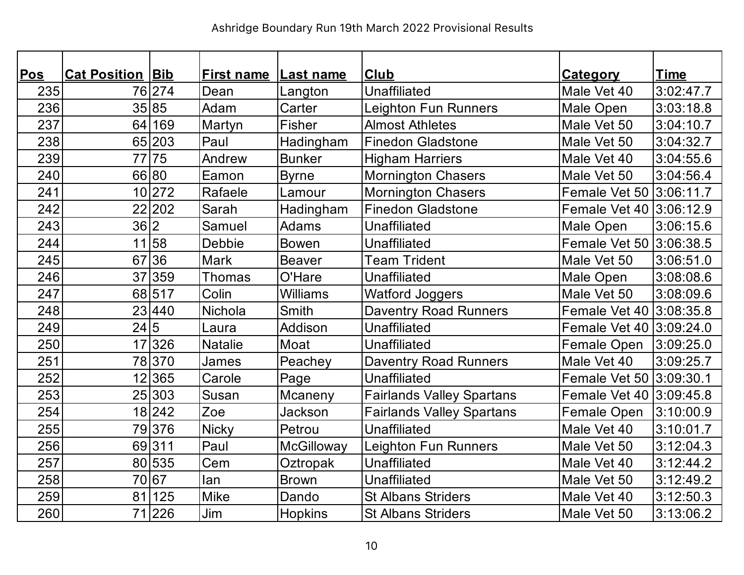| <b>Pos</b> | <b>Cat Position Bib</b> |        | <b>First name</b> | Last name         | <b>Club</b>                      | <b>Category</b>         | <b>Time</b> |
|------------|-------------------------|--------|-------------------|-------------------|----------------------------------|-------------------------|-------------|
| 235        |                         | 76 274 | Dean              | Langton           | <b>Unaffiliated</b>              | Male Vet 40             | 3:02:47.7   |
| 236        |                         | 35 85  | Adam              | Carter            | Leighton Fun Runners             | Male Open               | 3:03:18.8   |
| 237        | 64                      | 169    | Martyn            | <b>Fisher</b>     | <b>Almost Athletes</b>           | Male Vet 50             | 3:04:10.7   |
| 238        |                         | 65 203 | Paul              | Hadingham         | <b>Finedon Gladstone</b>         | Male Vet 50             | 3:04:32.7   |
| 239        |                         | 77 75  | Andrew            | <b>Bunker</b>     | <b>Higham Harriers</b>           | Male Vet 40             | 3:04:55.6   |
| 240        |                         | 66 80  | Eamon             | <b>Byrne</b>      | <b>Mornington Chasers</b>        | Male Vet 50             | 3:04:56.4   |
| 241        |                         | 10 272 | Rafaele           | Lamour            | <b>Mornington Chasers</b>        | Female Vet 50 3:06:11.7 |             |
| 242        |                         | 22 202 | Sarah             | Hadingham         | <b>Finedon Gladstone</b>         | Female Vet 40 3:06:12.9 |             |
| 243        | 36 2                    |        | Samuel            | <b>Adams</b>      | <b>Unaffiliated</b>              | Male Open               | 3:06:15.6   |
| 244        |                         | 11 58  | <b>Debbie</b>     | <b>Bowen</b>      | <b>Unaffiliated</b>              | Female Vet 50 3:06:38.5 |             |
| 245        |                         | 67 36  | <b>Mark</b>       | <b>Beaver</b>     | <b>Team Trident</b>              | Male Vet 50             | 3:06:51.0   |
| 246        |                         | 37 359 | Thomas            | O'Hare            | <b>Unaffiliated</b>              | Male Open               | 3:08:08.6   |
| 247        |                         | 68 517 | Colin             | <b>Williams</b>   | <b>Watford Joggers</b>           | Male Vet 50             | 3:08:09.6   |
| 248        |                         | 23 440 | Nichola           | <b>Smith</b>      | <b>Daventry Road Runners</b>     | Female Vet 40 3:08:35.8 |             |
| 249        | 24 5                    |        | Laura             | Addison           | <b>Unaffiliated</b>              | Female Vet 40 3:09:24.0 |             |
| 250        |                         | 17 326 | <b>Natalie</b>    | Moat              | <b>Unaffiliated</b>              | Female Open             | 3:09:25.0   |
| 251        |                         | 78 370 | James             | Peachey           | <b>Daventry Road Runners</b>     | Male Vet 40             | 3:09:25.7   |
| 252        |                         | 12 365 | Carole            | Page              | <b>Unaffiliated</b>              | Female Vet 50 3:09:30.1 |             |
| 253        |                         | 25 303 | Susan             | Mcaneny           | <b>Fairlands Valley Spartans</b> | Female Vet 40 3:09:45.8 |             |
| 254        |                         | 18 242 | Zoe               | <b>Jackson</b>    | <b>Fairlands Valley Spartans</b> | Female Open             | 3:10:00.9   |
| 255        |                         | 79376  | <b>Nicky</b>      | Petrou            | <b>Unaffiliated</b>              | Male Vet 40             | 3:10:01.7   |
| 256        |                         | 69311  | Paul              | <b>McGilloway</b> | Leighton Fun Runners             | Male Vet 50             | 3:12:04.3   |
| 257        |                         | 80 535 | Cem               | Oztropak          | <b>Unaffiliated</b>              | Male Vet 40             | 3:12:44.2   |
| 258        |                         | 70 67  | lan               | <b>Brown</b>      | <b>Unaffiliated</b>              | Male Vet 50             | 3:12:49.2   |
| 259        | 81                      | 125    | <b>Mike</b>       | Dando             | <b>St Albans Striders</b>        | Male Vet 40             | 3:12:50.3   |
| 260        |                         | 71 226 | Jim               | Hopkins           | <b>St Albans Striders</b>        | Male Vet 50             | 3:13:06.2   |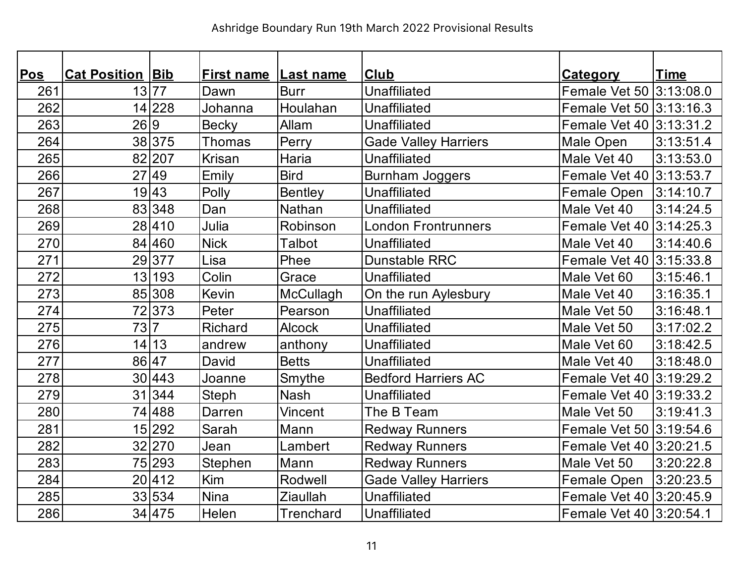| <u>Pos</u> | <b>Cat Position Bib</b> |        | <b>First name Last name</b> |                 | <b>Club</b>                 | <b>Category</b>         | <b>Time</b> |
|------------|-------------------------|--------|-----------------------------|-----------------|-----------------------------|-------------------------|-------------|
| 261        |                         | 13 77  | Dawn                        | <b>Burr</b>     | <b>Unaffiliated</b>         | Female Vet 50 3:13:08.0 |             |
| 262        |                         | 14 228 | Johanna                     | Houlahan        | <b>Unaffiliated</b>         | Female Vet 50 3:13:16.3 |             |
| 263        | 26 9                    |        | <b>Becky</b>                | Allam           | <b>Unaffiliated</b>         | Female Vet 40 3:13:31.2 |             |
| 264        |                         | 38 375 | Thomas                      | Perry           | <b>Gade Valley Harriers</b> | Male Open               | 3:13:51.4   |
| 265        |                         | 82 207 | <b>Krisan</b>               | Haria           | <b>Unaffiliated</b>         | Male Vet 40             | 3:13:53.0   |
| 266        |                         | 27 49  | Emily                       | <b>Bird</b>     | <b>Burnham Joggers</b>      | Female Vet 40 3:13:53.7 |             |
| 267        |                         | 19 43  | Polly                       | <b>Bentley</b>  | <b>Unaffiliated</b>         | Female Open             | 3:14:10.7   |
| 268        |                         | 83 348 | Dan                         | Nathan          | <b>Unaffiliated</b>         | Male Vet 40             | 3:14:24.5   |
| 269        |                         | 28 410 | Julia                       | Robinson        | <b>London Frontrunners</b>  | Female Vet 40 3:14:25.3 |             |
| 270        |                         | 84 460 | <b>Nick</b>                 | <b>Talbot</b>   | <b>Unaffiliated</b>         | Male Vet 40             | 3:14:40.6   |
| 271        |                         | 29377  | Lisa                        | Phee            | <b>Dunstable RRC</b>        | Female Vet 40 3:15:33.8 |             |
| 272        |                         | 13 193 | Colin                       | Grace           | <b>Unaffiliated</b>         | Male Vet 60             | 3:15:46.1   |
| 273        |                         | 85 308 | Kevin                       | McCullagh       | On the run Aylesbury        | Male Vet 40             | 3:16:35.1   |
| 274        |                         | 72373  | Peter                       | Pearson         | <b>Unaffiliated</b>         | Male Vet 50             | 3:16:48.1   |
| 275        | 73 7                    |        | Richard                     | <b>Alcock</b>   | <b>Unaffiliated</b>         | Male Vet 50             | 3:17:02.2   |
| 276        |                         | 14 13  | andrew                      | anthony         | <b>Unaffiliated</b>         | Male Vet 60             | 3:18:42.5   |
| 277        | 86 47                   |        | David                       | <b>Betts</b>    | <b>Unaffiliated</b>         | Male Vet 40             | 3:18:48.0   |
| 278        |                         | 30 443 | Joanne                      | Smythe          | <b>Bedford Harriers AC</b>  | Female Vet 40 3:19:29.2 |             |
| 279        |                         | 31 344 | Steph                       | <b>Nash</b>     | <b>Unaffiliated</b>         | Female Vet 40 3:19:33.2 |             |
| 280        |                         | 74 488 | Darren                      | <b>Vincent</b>  | The B Team                  | Male Vet 50             | 3:19:41.3   |
| 281        |                         | 15 292 | Sarah                       | Mann            | <b>Redway Runners</b>       | Female Vet 50 3:19:54.6 |             |
| 282        |                         | 32 270 | Jean                        | Lambert         | <b>Redway Runners</b>       | Female Vet 40 3:20:21.5 |             |
| 283        |                         | 75 293 | Stephen                     | Mann            | <b>Redway Runners</b>       | Male Vet 50             | 3:20:22.8   |
| 284        |                         | 20 412 | Kim                         | Rodwell         | <b>Gade Valley Harriers</b> | Female Open             | 3:20:23.5   |
| 285        |                         | 33 534 | <b>Nina</b>                 | <b>Ziaullah</b> | <b>Unaffiliated</b>         | Female Vet 40 3:20:45.9 |             |
| 286        |                         | 34 475 | Helen                       | Trenchard       | Unaffiliated                | Female Vet 40 3:20:54.1 |             |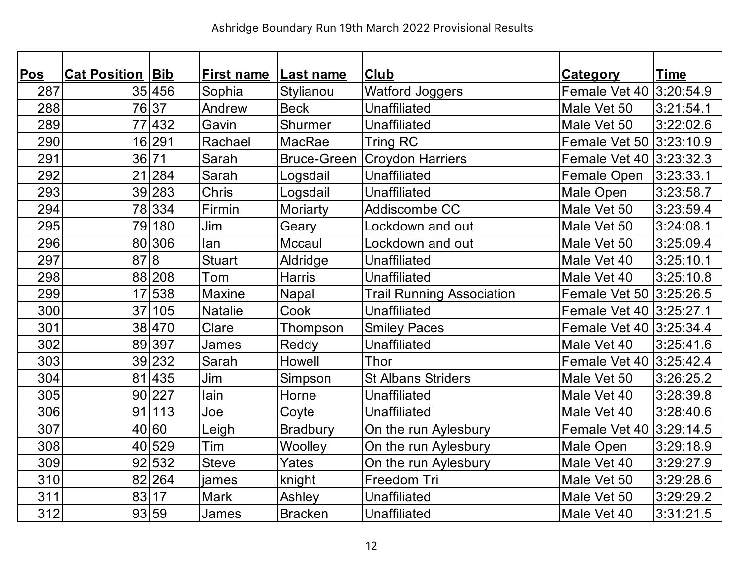| Pos | <b>Cat Position Bib</b> |        | <b>First name Last name</b> |                    | <b>Club</b>                      | <b>Category</b>         | <b>Time</b> |
|-----|-------------------------|--------|-----------------------------|--------------------|----------------------------------|-------------------------|-------------|
| 287 |                         | 35 456 | Sophia                      | Stylianou          | <b>Watford Joggers</b>           | Female Vet 40 3:20:54.9 |             |
| 288 |                         | 76 37  | Andrew                      | <b>Beck</b>        | <b>Unaffiliated</b>              | Male Vet 50             | 3:21:54.1   |
| 289 |                         | 77 432 | Gavin                       | Shurmer            | <b>Unaffiliated</b>              | Male Vet 50             | 3:22:02.6   |
| 290 |                         | 16 291 | Rachael                     | MacRae             | <b>Tring RC</b>                  | Female Vet 50 3:23:10.9 |             |
| 291 | 36 71                   |        | Sarah                       | <b>Bruce-Green</b> | <b>Croydon Harriers</b>          | Female Vet 40 3:23:32.3 |             |
| 292 |                         | 21 284 | Sarah                       | Logsdail           | <b>Unaffiliated</b>              | Female Open             | 3:23:33.1   |
| 293 |                         | 39 283 | Chris                       | Logsdail           | <b>Unaffiliated</b>              | Male Open               | 3:23:58.7   |
| 294 |                         | 78 334 | Firmin                      | Moriarty           | Addiscombe CC                    | Male Vet 50             | 3:23:59.4   |
| 295 |                         | 79 180 | Jim                         | Geary              | Lockdown and out                 | Male Vet 50             | 3:24:08.1   |
| 296 |                         | 80 306 | lan                         | Mccaul             | Lockdown and out                 | Male Vet 50             | 3:25:09.4   |
| 297 | 87 8                    |        | <b>Stuart</b>               | Aldridge           | <b>Unaffiliated</b>              | Male Vet 40             | 3:25:10.1   |
| 298 |                         | 88 208 | Tom                         | <b>Harris</b>      | <b>Unaffiliated</b>              | Male Vet 40             | 3:25:10.8   |
| 299 |                         | 17 538 | <b>Maxine</b>               | Napal              | <b>Trail Running Association</b> | Female Vet 50 3:25:26.5 |             |
| 300 |                         | 37 105 | <b>Natalie</b>              | Cook               | <b>Unaffiliated</b>              | Female Vet 40 3:25:27.1 |             |
| 301 |                         | 38 470 | Clare                       | Thompson           | <b>Smiley Paces</b>              | Female Vet 40 3:25:34.4 |             |
| 302 |                         | 89 397 | James                       | Reddy              | <b>Unaffiliated</b>              | Male Vet 40             | 3:25:41.6   |
| 303 |                         | 39 232 | Sarah                       | Howell             | Thor                             | Female Vet 40 3:25:42.4 |             |
| 304 |                         | 81 435 | Jim                         | Simpson            | <b>St Albans Striders</b>        | Male Vet 50             | 3:26:25.2   |
| 305 |                         | 90 227 | lain                        | Horne              | <b>Unaffiliated</b>              | Male Vet 40             | 3:28:39.8   |
| 306 |                         | 91 113 | Joe                         | Coyte              | <b>Unaffiliated</b>              | Male Vet 40             | 3:28:40.6   |
| 307 |                         | 40 60  | Leigh                       | <b>Bradbury</b>    | On the run Aylesbury             | Female Vet 40           | 3:29:14.5   |
| 308 |                         | 40 529 | Tim                         | Woolley            | On the run Aylesbury             | Male Open               | 3:29:18.9   |
| 309 |                         | 92 532 | <b>Steve</b>                | Yates              | On the run Aylesbury             | Male Vet 40             | 3:29:27.9   |
| 310 |                         | 82 264 | james                       | knight             | Freedom Tri                      | Male Vet 50             | 3:29:28.6   |
| 311 | 83 17                   |        | Mark                        | Ashley             | <b>Unaffiliated</b>              | Male Vet 50             | 3:29:29.2   |
| 312 |                         | 93 59  | James                       | <b>Bracken</b>     | <b>Unaffiliated</b>              | Male Vet 40             | 3:31:21.5   |